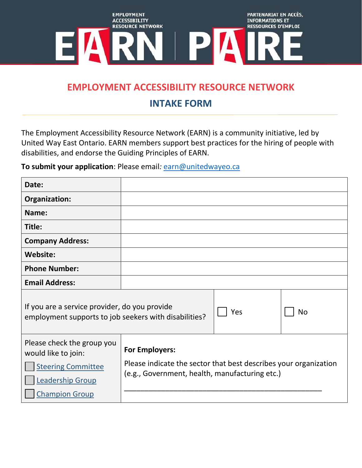

## **EMPLOYMENT ACCESSIBILITY RESOURCE NETWORK**

## **INTAKE FORM**

The Employment Accessibility Resource Network (EARN) is a community initiative, led by United Way East Ontario. EARN members support best practices for the hiring of people with disabilities, and endorse the Guiding Principles of EARN.

**To submit your application**: Please email*:* [earn@unitedwayeo.ca](mailto:earn@unitedwayeo.ca)

| Date:                                                                                                                              |                                                                                                                                             |     |           |
|------------------------------------------------------------------------------------------------------------------------------------|---------------------------------------------------------------------------------------------------------------------------------------------|-----|-----------|
| Organization:                                                                                                                      |                                                                                                                                             |     |           |
| Name:                                                                                                                              |                                                                                                                                             |     |           |
| Title:                                                                                                                             |                                                                                                                                             |     |           |
| <b>Company Address:</b>                                                                                                            |                                                                                                                                             |     |           |
| <b>Website:</b>                                                                                                                    |                                                                                                                                             |     |           |
| <b>Phone Number:</b>                                                                                                               |                                                                                                                                             |     |           |
| <b>Email Address:</b>                                                                                                              |                                                                                                                                             |     |           |
| If you are a service provider, do you provide<br>employment supports to job seekers with disabilities?                             |                                                                                                                                             | Yes | <b>No</b> |
| Please check the group you<br>would like to join:<br><b>Steering Committee</b><br><b>Leadership Group</b><br><b>Champion Group</b> | <b>For Employers:</b><br>Please indicate the sector that best describes your organization<br>(e.g., Government, health, manufacturing etc.) |     |           |
|                                                                                                                                    |                                                                                                                                             |     |           |